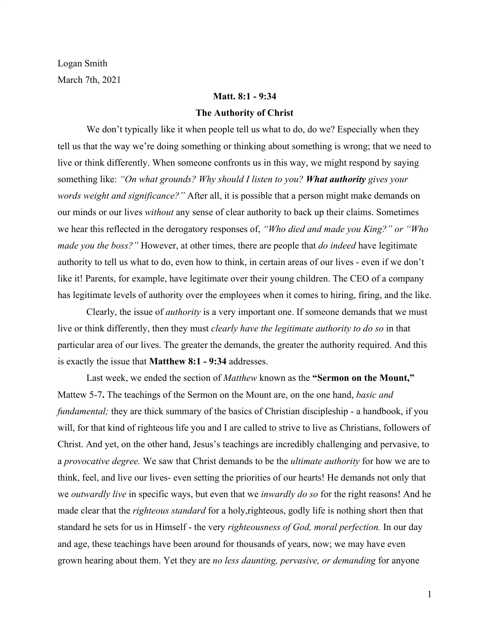Logan Smith March 7th, 2021

# **Matt. 8:1 - 9:34**

#### **The Authority of Christ**

We don't typically like it when people tell us what to do, do we? Especially when they tell us that the way we're doing something or thinking about something is wrong; that we need to live or think differently. When someone confronts us in this way, we might respond by saying something like: *"On what grounds? Why should I listen to you? What authority gives your words weight and significance?"* After all, it is possible that a person might make demands on our minds or our lives *without* any sense of clear authority to back up their claims. Sometimes we hear this reflected in the derogatory responses of, *"Who died and made you King?" or "Who made you the boss?"* However, at other times, there are people that *do indeed* have legitimate authority to tell us what to do, even how to think, in certain areas of our lives - even if we don't like it! Parents, for example, have legitimate over their young children. The CEO of a company has legitimate levels of authority over the employees when it comes to hiring, firing, and the like.

Clearly, the issue of *authority* is a very important one. If someone demands that we must live or think differently, then they must *clearly have the legitimate authority to do so* in that particular area of our lives. The greater the demands, the greater the authority required. And this is exactly the issue that **Matthew 8:1 - 9:34** addresses.

Last week, we ended the section of *Matthew* known as the **"Sermon on the Mount,"** Mattew 5-7**.** The teachings of the Sermon on the Mount are, on the one hand, *basic and fundamental;* they are thick summary of the basics of Christian discipleship - a handbook, if you will, for that kind of righteous life you and I are called to strive to live as Christians, followers of Christ. And yet, on the other hand, Jesus's teachings are incredibly challenging and pervasive, to a *provocative degree.* We saw that Christ demands to be the *ultimate authority* for how we are to think, feel, and live our lives- even setting the priorities of our hearts! He demands not only that we *outwardly live* in specific ways, but even that we *inwardly do so* for the right reasons! And he made clear that the *righteous standard* for a holy,righteous, godly life is nothing short then that standard he sets for us in Himself - the very *righteousness of God, moral perfection.* In our day and age, these teachings have been around for thousands of years, now; we may have even grown hearing about them. Yet they are *no less daunting, pervasive, or demanding* for anyone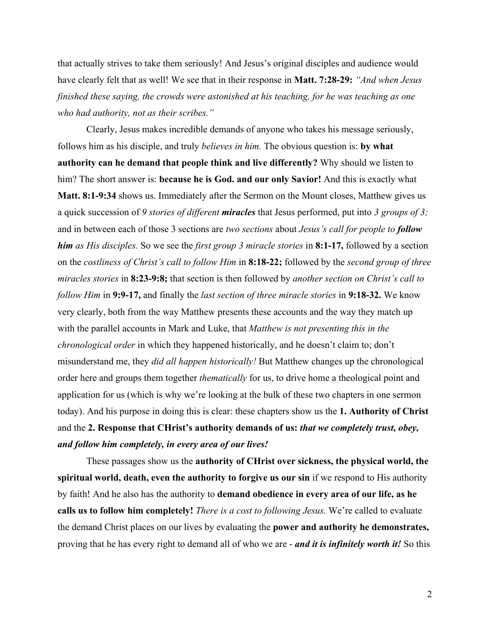that actually strives to take them seriously! And Jesus's original disciples and audience would have clearly felt that as well! We see that in their response in **Matt. 7:28-29:** *"And when Jesus finished these saying, the crowds were astonished at his teaching, for he was teaching as one who had authority, not as their scribes."*

Clearly, Jesus makes incredible demands of anyone who takes his message seriously, follows him as his disciple, and truly *believes in him.* The obvious question is: **by what authority can he demand that people think and live differently?** Why should we listen to him? The short answer is: **because he is God. and our only Savior!** And this is exactly what **Matt. 8:1-9:34** shows us. Immediately after the Sermon on the Mount closes, Matthew gives us a quick succession of *9 stories of different miracles* that Jesus performed, put into *3 groups of 3;* and in between each of those 3 sections are *two sections* about *Jesus's call for people to follow him as His disciples.* So we see the *first group 3 miracle stories* in **8:1-17,** followed by a section on the *costliness of Christ's call to follow Him* in **8:18-22;** followed by the *second group of three miracles stories* in **8:23-9:8;** that section is then followed by *another section on Christ's call to follow Him* in **9:9-17,** and finally the *last section of three miracle stories* in **9:18-32.** We know very clearly, both from the way Matthew presents these accounts and the way they match up with the parallel accounts in Mark and Luke, that *Matthew is not presenting this in the chronological order* in which they happened historically, and he doesn't claim to; don't misunderstand me, they *did all happen historically!* But Matthew changes up the chronological order here and groups them together *thematically* for us, to drive home a theological point and application for us (which is why we're looking at the bulk of these two chapters in one sermon today). And his purpose in doing this is clear: these chapters show us the **1. Authority of Christ** and the **2. Response that CHrist's authority demands of us:** *that we completely trust, obey, and follow him completely, in every area of our lives!*

These passages show us the **authority of CHrist over sickness, the physical world, the spiritual world, death, even the authority to forgive us our sin** if we respond to His authority by faith! And he also has the authority to **demand obedience in every area of our life, as he calls us to follow him completely!** *There is a cost to following Jesus.* We're called to evaluate the demand Christ places on our lives by evaluating the **power and authority he demonstrates,** proving that he has every right to demand all of who we are - *and it is infinitely worth it!* So this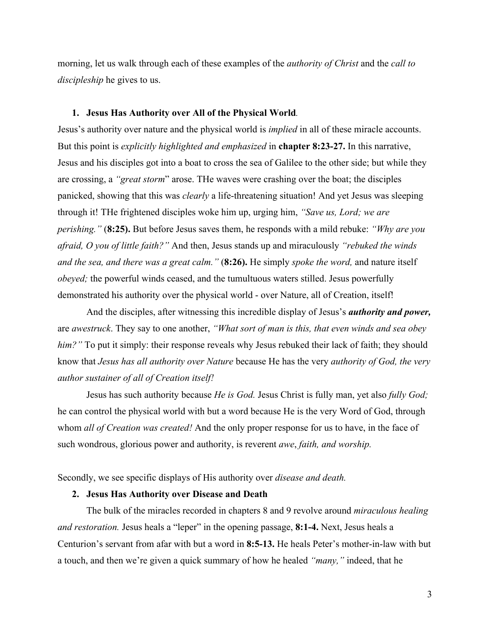morning, let us walk through each of these examples of the *authority of Christ* and the *call to discipleship* he gives to us.

#### **1. Jesus Has Authority over All of the Physical World***.*

Jesus's authority over nature and the physical world is *implied* in all of these miracle accounts. But this point is *explicitly highlighted and emphasized* in **chapter 8:23-27.** In this narrative, Jesus and his disciples got into a boat to cross the sea of Galilee to the other side; but while they are crossing, a *"great storm*" arose. THe waves were crashing over the boat; the disciples panicked, showing that this was *clearly* a life-threatening situation! And yet Jesus was sleeping through it! THe frightened disciples woke him up, urging him, *"Save us, Lord; we are perishing."* (**8:25).** But before Jesus saves them, he responds with a mild rebuke: *"Why are you afraid, O you of little faith?"* And then, Jesus stands up and miraculously *"rebuked the winds and the sea, and there was a great calm."* (**8:26).** He simply *spoke the word,* and nature itself *obeyed;* the powerful winds ceased, and the tumultuous waters stilled. Jesus powerfully demonstrated his authority over the physical world - over Nature, all of Creation, itself!

And the disciples, after witnessing this incredible display of Jesus's *authority and power,* are *awestruck*. They say to one another, *"What sort of man is this, that even winds and sea obey him?"* To put it simply: their response reveals why Jesus rebuked their lack of faith; they should know that *Jesus has all authority over Nature* because He has the very *authority of God, the very author sustainer of all of Creation itself!*

Jesus has such authority because *He is God.* Jesus Christ is fully man, yet also *fully God;* he can control the physical world with but a word because He is the very Word of God, through whom *all of Creation was created!* And the only proper response for us to have, in the face of such wondrous, glorious power and authority, is reverent *awe*, *faith, and worship.*

Secondly, we see specific displays of His authority over *disease and death.*

### **2. Jesus Has Authority over Disease and Death**

The bulk of the miracles recorded in chapters 8 and 9 revolve around *miraculous healing and restoration.* Jesus heals a "leper" in the opening passage, **8:1-4.** Next, Jesus heals a Centurion's servant from afar with but a word in **8:5-13.** He heals Peter's mother-in-law with but a touch, and then we're given a quick summary of how he healed *"many,"* indeed, that he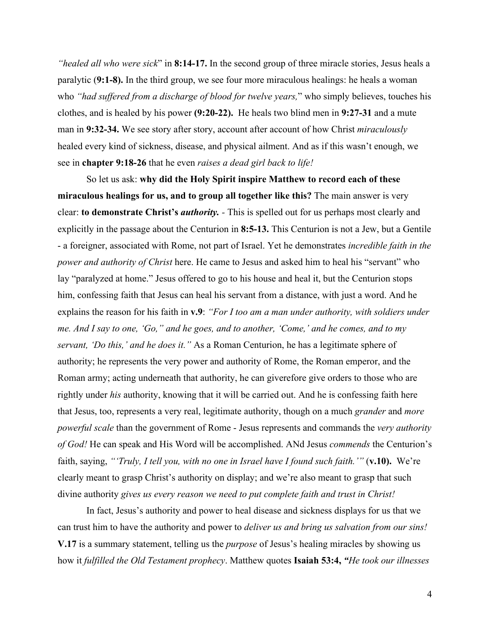*"healed all who were sick*" in **8:14-17.** In the second group of three miracle stories, Jesus heals a paralytic (**9:1-8).** In the third group, we see four more miraculous healings: he heals a woman who *"had suffered from a discharge of blood for twelve years,*" who simply believes, touches his clothes, and is healed by his power **(9:20-22).** He heals two blind men in **9:27-31** and a mute man in **9:32-34.** We see story after story, account after account of how Christ *miraculously* healed every kind of sickness, disease, and physical ailment. And as if this wasn't enough, we see in **chapter 9:18-26** that he even *raises a dead girl back to life!*

So let us ask: **why did the Holy Spirit inspire Matthew to record each of these miraculous healings for us, and to group all together like this?** The main answer is very clear: **to demonstrate Christ's** *authority. -* This is spelled out for us perhaps most clearly and explicitly in the passage about the Centurion in **8:5-13.** This Centurion is not a Jew, but a Gentile - a foreigner, associated with Rome, not part of Israel. Yet he demonstrates *incredible faith in the power and authority of Christ* here. He came to Jesus and asked him to heal his "servant" who lay "paralyzed at home." Jesus offered to go to his house and heal it, but the Centurion stops him, confessing faith that Jesus can heal his servant from a distance, with just a word. And he explains the reason for his faith in **v.9**: *"For I too am a man under authority, with soldiers under me. And I say to one, 'Go," and he goes, and to another, 'Come,' and he comes, and to my servant, 'Do this,' and he does it."* As a Roman Centurion, he has a legitimate sphere of authority; he represents the very power and authority of Rome, the Roman emperor, and the Roman army; acting underneath that authority, he can giverefore give orders to those who are rightly under *his* authority, knowing that it will be carried out. And he is confessing faith here that Jesus, too, represents a very real, legitimate authority, though on a much *grander* and *more powerful scale* than the government of Rome - Jesus represents and commands the *very authority of God!* He can speak and His Word will be accomplished. ANd Jesus *commends* the Centurion's faith, saying, *"'Truly, I tell you, with no one in Israel have I found such faith.'"* (**v.10).** We're clearly meant to grasp Christ's authority on display; and we're also meant to grasp that such divine authority *gives us every reason we need to put complete faith and trust in Christ!*

In fact, Jesus's authority and power to heal disease and sickness displays for us that we can trust him to have the authority and power to *deliver us and bring us salvation from our sins!* **V.17** is a summary statement, telling us the *purpose* of Jesus's healing miracles by showing us how it *fulfilled the Old Testament prophecy*. Matthew quotes **Isaiah 53:4,** *"He took our illnesses*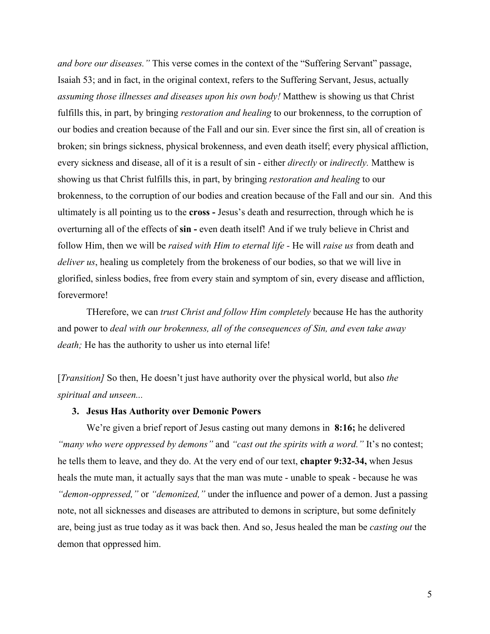*and bore our diseases."* This verse comes in the context of the "Suffering Servant" passage, Isaiah 53; and in fact, in the original context, refers to the Suffering Servant, Jesus, actually *assuming those illnesses and diseases upon his own body!* Matthew is showing us that Christ fulfills this, in part, by bringing *restoration and healing* to our brokenness, to the corruption of our bodies and creation because of the Fall and our sin. Ever since the first sin, all of creation is broken; sin brings sickness, physical brokenness, and even death itself; every physical affliction, every sickness and disease, all of it is a result of sin - either *directly* or *indirectly.* Matthew is showing us that Christ fulfills this, in part, by bringing *restoration and healing* to our brokenness, to the corruption of our bodies and creation because of the Fall and our sin. And this ultimately is all pointing us to the **cross -** Jesus's death and resurrection, through which he is overturning all of the effects of **sin -** even death itself! And if we truly believe in Christ and follow Him, then we will be *raised with Him to eternal life -* He will *raise us* from death and *deliver us*, healing us completely from the brokeness of our bodies, so that we will live in glorified, sinless bodies, free from every stain and symptom of sin, every disease and affliction, forevermore!

THerefore, we can *trust Christ and follow Him completely* because He has the authority and power to *deal with our brokenness, all of the consequences of Sin, and even take away death;* He has the authority to usher us into eternal life!

[*Transition]* So then, He doesn't just have authority over the physical world, but also *the spiritual and unseen...*

### **3. Jesus Has Authority over Demonic Powers**

We're given a brief report of Jesus casting out many demons in **8:16;** he delivered *"many who were oppressed by demons"* and *"cast out the spirits with a word."* It's no contest; he tells them to leave, and they do. At the very end of our text, **chapter 9:32-34,** when Jesus heals the mute man, it actually says that the man was mute - unable to speak - because he was *"demon-oppressed,"* or *"demonized,"* under the influence and power of a demon. Just a passing note, not all sicknesses and diseases are attributed to demons in scripture, but some definitely are, being just as true today as it was back then. And so, Jesus healed the man be *casting out* the demon that oppressed him.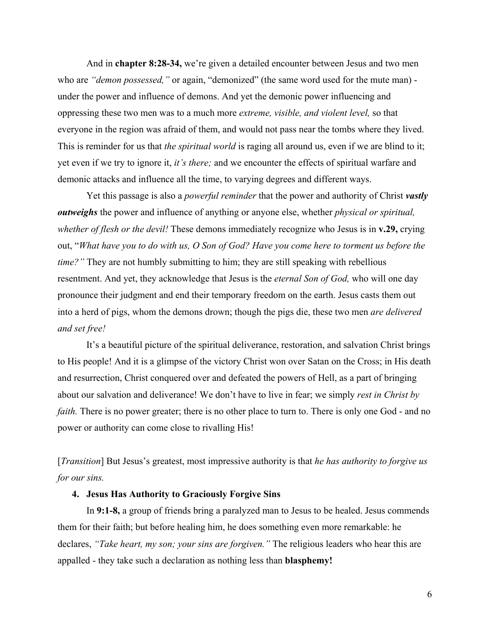And in **chapter 8:28-34,** we're given a detailed encounter between Jesus and two men who are *"demon possessed,"* or again, "demonized" (the same word used for the mute man) under the power and influence of demons. And yet the demonic power influencing and oppressing these two men was to a much more *extreme, visible, and violent level,* so that everyone in the region was afraid of them, and would not pass near the tombs where they lived. This is reminder for us that *the spiritual world* is raging all around us, even if we are blind to it; yet even if we try to ignore it, *it's there;* and we encounter the effects of spiritual warfare and demonic attacks and influence all the time, to varying degrees and different ways.

Yet this passage is also a *powerful reminder* that the power and authority of Christ *vastly outweighs* the power and influence of anything or anyone else, whether *physical or spiritual, whether of flesh or the devil!* These demons immediately recognize who Jesus is in **v.29,** crying out, "*What have you to do with us, O Son of God? Have you come here to torment us before the time?*" They are not humbly submitting to him; they are still speaking with rebellious resentment. And yet, they acknowledge that Jesus is the *eternal Son of God,* who will one day pronounce their judgment and end their temporary freedom on the earth. Jesus casts them out into a herd of pigs, whom the demons drown; though the pigs die, these two men *are delivered and set free!*

It's a beautiful picture of the spiritual deliverance, restoration, and salvation Christ brings to His people! And it is a glimpse of the victory Christ won over Satan on the Cross; in His death and resurrection, Christ conquered over and defeated the powers of Hell, as a part of bringing about our salvation and deliverance! We don't have to live in fear; we simply *rest in Christ by faith.* There is no power greater; there is no other place to turn to. There is only one God - and no power or authority can come close to rivalling His!

[*Transition*] But Jesus's greatest, most impressive authority is that *he has authority to forgive us for our sins.*

# **4. Jesus Has Authority to Graciously Forgive Sins**

In **9:1-8,** a group of friends bring a paralyzed man to Jesus to be healed. Jesus commends them for their faith; but before healing him, he does something even more remarkable: he declares, *"Take heart, my son; your sins are forgiven."* The religious leaders who hear this are appalled - they take such a declaration as nothing less than **blasphemy!**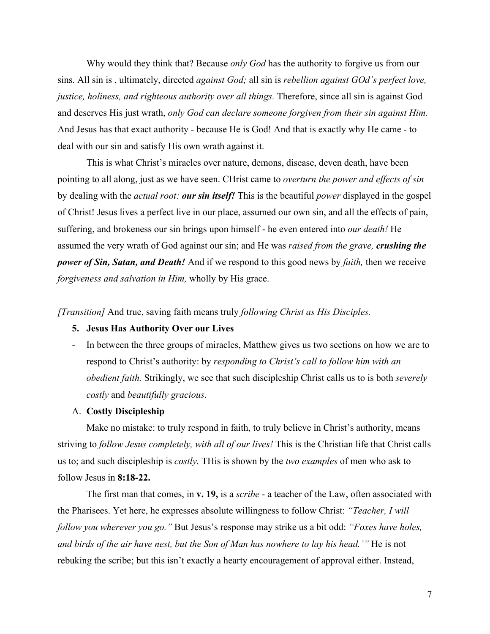Why would they think that? Because *only God* has the authority to forgive us from our sins. All sin is , ultimately, directed *against God;* all sin is *rebellion against GOd's perfect love, justice, holiness, and righteous authority over all things.* Therefore, since all sin is against God and deserves His just wrath, *only God can declare someone forgiven from their sin against Him.* And Jesus has that exact authority - because He is God! And that is exactly why He came - to deal with our sin and satisfy His own wrath against it.

This is what Christ's miracles over nature, demons, disease, deven death, have been pointing to all along, just as we have seen. CHrist came to *overturn the power and effects of sin* by dealing with the *actual root: our sin itself!* This is the beautiful *power* displayed in the gospel of Christ! Jesus lives a perfect live in our place, assumed our own sin, and all the effects of pain, suffering, and brokeness our sin brings upon himself - he even entered into *our death!* He assumed the very wrath of God against our sin; and He was *raised from the grave, crushing the power of Sin, Satan, and Death!* And if we respond to this good news by *faith,* then we receive *forgiveness and salvation in Him,* wholly by His grace.

*[Transition]* And true, saving faith means truly *following Christ as His Disciples.*

# **5. Jesus Has Authority Over our Lives**

*-* In between the three groups of miracles, Matthew gives us two sections on how we are to respond to Christ's authority: by *responding to Christ's call to follow him with an obedient faith.* Strikingly, we see that such discipleship Christ calls us to is both *severely costly* and *beautifully gracious*.

# A. **Costly Discipleship**

Make no mistake: to truly respond in faith, to truly believe in Christ's authority, means striving to *follow Jesus completely, with all of our lives!* This is the Christian life that Christ calls us to; and such discipleship is *costly.* THis is shown by the *two examples* of men who ask to follow Jesus in **8:18-22.**

The first man that comes, in **v. 19,** is a *scribe* - a teacher of the Law, often associated with the Pharisees. Yet here, he expresses absolute willingness to follow Christ: *"Teacher, I will follow you wherever you go."* But Jesus's response may strike us a bit odd: *"Foxes have holes, and birds of the air have nest, but the Son of Man has nowhere to lay his head.'"* He is not rebuking the scribe; but this isn't exactly a hearty encouragement of approval either. Instead,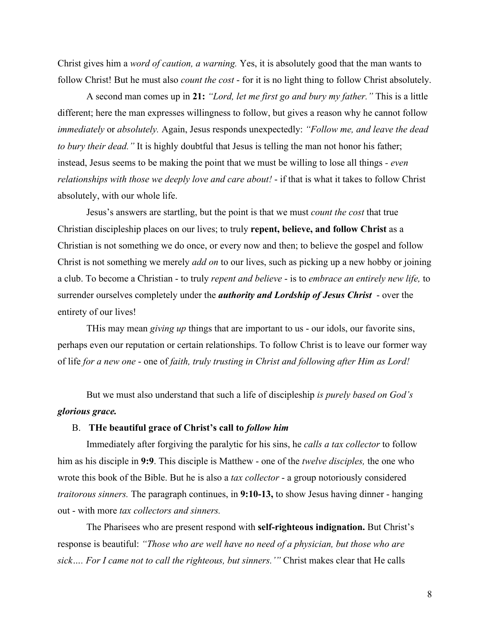Christ gives him a *word of caution, a warning.* Yes, it is absolutely good that the man wants to follow Christ! But he must also *count the cost* - for it is no light thing to follow Christ absolutely.

A second man comes up in **21:** *"Lord, let me first go and bury my father."* This is a little different; here the man expresses willingness to follow, but gives a reason why he cannot follow *immediately* or *absolutely.* Again, Jesus responds unexpectedly: *"Follow me, and leave the dead to bury their dead."* It is highly doubtful that Jesus is telling the man not honor his father; instead, Jesus seems to be making the point that we must be willing to lose all things *- even relationships with those we deeply love and care about!* - if that is what it takes to follow Christ absolutely, with our whole life.

Jesus's answers are startling, but the point is that we must *count the cost* that true Christian discipleship places on our lives; to truly **repent, believe, and follow Christ** as a Christian is not something we do once, or every now and then; to believe the gospel and follow Christ is not something we merely *add on* to our lives, such as picking up a new hobby or joining a club. To become a Christian - to truly *repent and believe* - is to *embrace an entirely new life,* to surrender ourselves completely under the *authority and Lordship of Jesus Christ* - over the entirety of our lives!

THis may mean *giving up* things that are important to us - our idols, our favorite sins, perhaps even our reputation or certain relationships. To follow Christ is to leave our former way of life *for a new one* - one of *faith, truly trusting in Christ and following after Him as Lord!*

But we must also understand that such a life of discipleship *is purely based on God's glorious grace.*

# B. **THe beautiful grace of Christ's call to** *follow him*

Immediately after forgiving the paralytic for his sins, he *calls a tax collector* to follow him as his disciple in **9:9**. This disciple is Matthew - one of the *twelve disciples,* the one who wrote this book of the Bible. But he is also a *tax collector* - a group notoriously considered *traitorous sinners.* The paragraph continues, in **9:10-13,** to show Jesus having dinner - hanging out - with more *tax collectors and sinners.*

The Pharisees who are present respond with **self-righteous indignation.** But Christ's response is beautiful: *"Those who are well have no need of a physician, but those who are sick…. For I came not to call the righteous, but sinners.'"* Christ makes clear that He calls